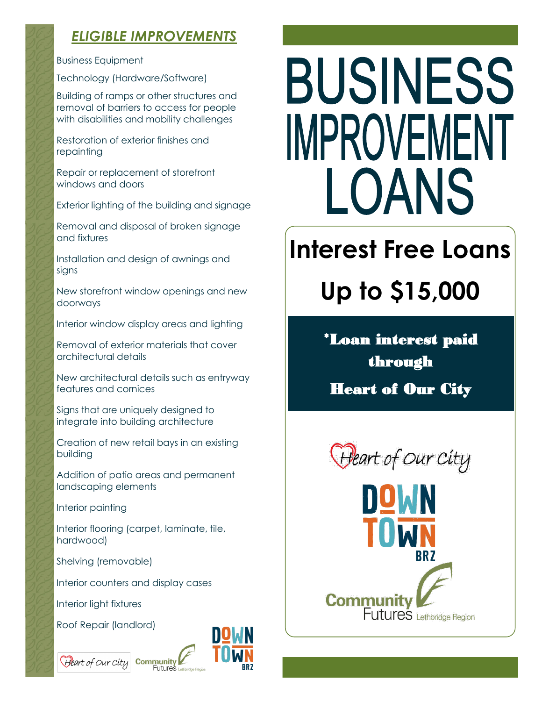# *ELIGIBLE IMPROVEMENTS*

Business Equipment

Technology (Hardware/Software)

Building of ramps or other structures and removal of barriers to access for people with disabilities and mobility challenges

Restoration of exterior finishes and repainting

Repair or replacement of storefront windows and doors

Exterior lighting of the building and signage

Removal and disposal of broken signage and fixtures

Installation and design of awnings and signs

New storefront window openings and new doorways

Interior window display areas and lighting

Removal of exterior materials that cover architectural details

New architectural details such as entryway features and cornices

Signs that are uniquely designed to integrate into building architecture

Creation of new retail bays in an existing building

Addition of patio areas and permanent landscaping elements

Interior painting

Interior flooring (carpet, laminate, tile, hardwood)

Shelving (removable)

Interior counters and display cases

Interior light fixtures

Roof Repair (landlord)





# **BUSINESS IMPROVEMENT** LOANS

# **Interest Free Loans Up to \$15,000**

\*Loan interest paid through

Heart of Our City